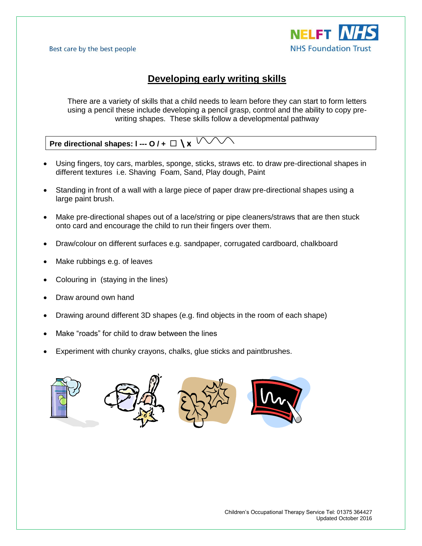



## **Developing early writing skills**

There are a variety of skills that a child needs to learn before they can start to form letters using a pencil these include developing a pencil grasp, control and the ability to copy prewriting shapes. These skills follow a developmental pathway

Pre directional shapes: I --- O / +  $\Box \setminus x^{\cup}$ 

- Using fingers, toy cars, marbles, sponge, sticks, straws etc. to draw pre-directional shapes in different textures i.e. Shaving Foam, Sand, Play dough, Paint
- Standing in front of a wall with a large piece of paper draw pre-directional shapes using a large paint brush.
- Make pre-directional shapes out of a lace/string or pipe cleaners/straws that are then stuck onto card and encourage the child to run their fingers over them.
- Draw/colour on different surfaces e.g. sandpaper, corrugated cardboard, chalkboard
- Make rubbings e.g. of leaves
- Colouring in (staying in the lines)
- Draw around own hand
- Drawing around different 3D shapes (e.g. find objects in the room of each shape)
- Make "roads" for child to draw between the lines
- Experiment with chunky crayons, chalks, glue sticks and paintbrushes.